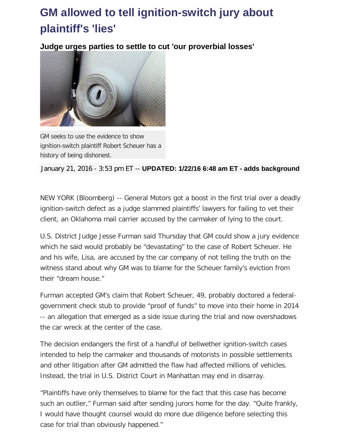## **GM allowed to tell ignition-switch jury about plaintiff's 'lies'**

**Judge urges parties to settle to cut 'our proverbial losses'**



GM seeks to use the evidence to show ignition-switch plaintiff Robert Scheuer has a history of being dishonest.

January 21, 2016 - 3:53 pm ET -- **UPDATED: 1/22/16 6:48 am ET - adds background**

NEW YORK (Bloomberg) -- General Motors got a boost in the first trial over a deadly ignition-switch defect as a judge slammed plaintiffs' lawyers for failing to vet their client, an Oklahoma mail carrier accused by the carmaker of lying to the court.

U.S. District Judge Jesse Furman said Thursday that GM could show a jury evidence which he said would probably be "devastating" to the case of Robert Scheuer. He and his wife, Lisa, are accused by the car company of not telling the truth on the witness stand about why GM was to blame for the Scheuer family's eviction from their "dream house."

Furman accepted GM's claim that Robert Scheuer, 49, probably doctored a federalgovernment check stub to provide "proof of funds" to move into their home in 2014 -- an allegation that emerged as a side issue during the trial and now overshadows the car wreck at the center of the case.

The decision endangers the first of a handful of bellwether ignition-switch cases intended to help the carmaker and thousands of motorists in possible settlements and other litigation after GM admitted the flaw had affected millions of vehicles. Instead, the trial in U.S. District Court in Manhattan may end in disarray.

"Plaintiffs have only themselves to blame for the fact that this case has become such an outlier," Furman said after sending jurors home for the day. "Quite frankly, I would have thought counsel would do more due diligence before selecting this case for trial than obviously happened."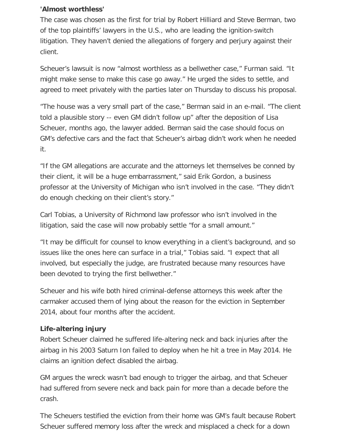## **'Almost worthless'**

The case was chosen as the first for trial by Robert Hilliard and Steve Berman, two of the top plaintiffs' lawyers in the U.S., who are leading the ignition-switch litigation. They haven't denied the allegations of forgery and perjury against their client.

Scheuer's lawsuit is now "almost worthless as a bellwether case," Furman said. "It might make sense to make this case go away." He urged the sides to settle, and agreed to meet privately with the parties later on Thursday to discuss his proposal.

"The house was a very small part of the case," Berman said in an e-mail. "The client told a plausible story -- even GM didn't follow up" after the deposition of Lisa Scheuer, months ago, the lawyer added. Berman said the case should focus on GM's defective cars and the fact that Scheuer's airbag didn't work when he needed it.

"If the GM allegations are accurate and the attorneys let themselves be conned by their client, it will be a huge embarrassment," said Erik Gordon, a business professor at the University of Michigan who isn't involved in the case. "They didn't do enough checking on their client's story."

Carl Tobias, a University of Richmond law professor who isn't involved in the litigation, said the case will now probably settle "for a small amount."

"It may be difficult for counsel to know everything in a client's background, and so issues like the ones here can surface in a trial," Tobias said. "I expect that all involved, but especially the judge, are frustrated because many resources have been devoted to trying the first bellwether."

Scheuer and his wife both hired criminal-defense attorneys this week after the carmaker accused them of lying about the reason for the eviction in September 2014, about four months after the accident.

## **Life-altering injury**

Robert Scheuer claimed he suffered life-altering neck and back injuries after the airbag in his 2003 Saturn Ion failed to deploy when he hit a tree in May 2014. He claims an ignition defect disabled the airbag.

GM argues the wreck wasn't bad enough to trigger the airbag, and that Scheuer had suffered from severe neck and back pain for more than a decade before the crash.

The Scheuers testified the eviction from their home was GM's fault because Robert Scheuer suffered memory loss after the wreck and misplaced a check for a down